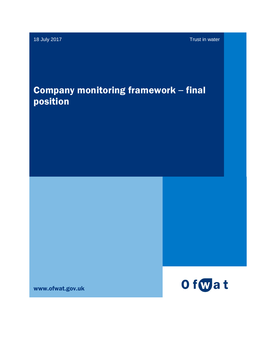18 July 2017 Trust in water

# Company monitoring framework – final position

www.ofwat.gov.uk

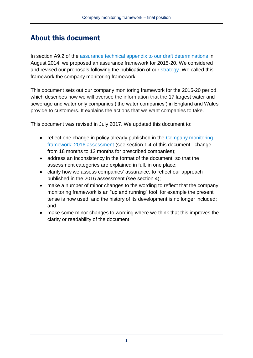### About this document

In section A9.2 of the [assurance technical appendix to our draft determinations](http://www.ofwat.gov.uk/pricereview/pr14/det_pr1408draftappendixassurance.pdf) in August 2014, we proposed an assurance framework for 2015-20. We considered and revised our proposals following the publication of our [strategy.](http://www.ofwat.gov.uk/aboutofwat/) We called this framework the company monitoring framework.

This document sets out our company monitoring framework for the 2015-20 period, which describes how we will oversee the information that the 17 largest water and sewerage and water only companies ('the water companies') in England and Wales provide to customers. It explains the actions that we want companies to take.

This document was revised in July 2017. We updated this document to:

- reflect one change in policy already published in the Company monitoring [framework: 2016 assessment](http://www.ofwat.gov.uk/publication/company-monitoring-framework-2016-assessment/) (see section 1.4 of this document– change from 18 months to 12 months for prescribed companies);
- address an inconsistency in the format of the document, so that the assessment categories are explained in full, in one place;
- clarify how we assess companies' assurance, to reflect our approach published in the 2016 assessment (see section 4);
- make a number of minor changes to the wording to reflect that the company monitoring framework is an "up and running" tool, for example the present tense is now used, and the history of its development is no longer included; and
- make some minor changes to wording where we think that this improves the clarity or readability of the document.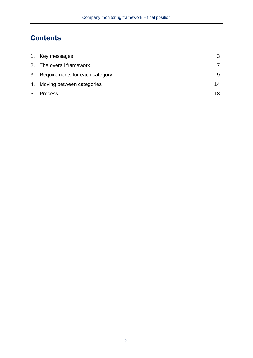# **Contents**

| 1. Key messages                   |    |
|-----------------------------------|----|
| 2. The overall framework          |    |
| 3. Requirements for each category |    |
| 4. Moving between categories      | 14 |
| 5. Process                        | 18 |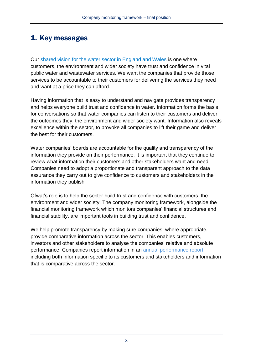### 1. Key messages

Our [shared vision for the water sector in England and Wales](http://www.ofwat.gov.uk/aboutofwat/) is one where customers, the environment and wider society have trust and confidence in vital public water and wastewater services. We want the companies that provide those services to be accountable to their customers for delivering the services they need and want at a price they can afford.

Having information that is easy to understand and navigate provides transparency and helps everyone build trust and confidence in water. Information forms the basis for conversations so that water companies can listen to their customers and deliver the outcomes they, the environment and wider society want. Information also reveals excellence within the sector, to provoke all companies to lift their game and deliver the best for their customers.

Water companies' boards are accountable for the quality and transparency of the information they provide on their performance. It is important that they continue to review what information their customers and other stakeholders want and need. Companies need to adopt a proportionate and transparent approach to the data assurance they carry out to give confidence to customers and stakeholders in the information they publish.

Ofwat's role is to help the sector build trust and confidence with customers, the environment and wider society. The company monitoring framework, alongside the financial monitoring framework which monitors companies' financial structures and financial stability, are important tools in building trust and confidence.

We help promote transparency by making sure companies, where appropriate, provide comparative information across the sector. This enables customers, investors and other stakeholders to analyse the companies' relative and absolute performance. Companies report information in an annual performance report, including both information specific to its customers and stakeholders and information that is comparative across the sector.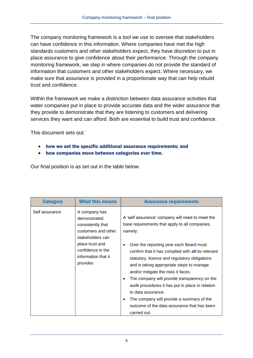The company monitoring framework is a tool we use to oversee that stakeholders can have confidence in this information. Where companies have met the high standards customers and other stakeholders expect, they have discretion to put in place assurance to give confidence about their performance. Through the company monitoring framework, we step in where companies do not provide the standard of information that customers and other stakeholders expect. Where necessary, we make sure that assurance is provided in a proportionate way that can help rebuild trust and confidence.

Within the framework we make a distinction between data assurance activities that water companies put in place to provide accurate data and the wider assurance that they provide to demonstrate that they are listening to customers and delivering services they want and can afford. Both are essential to build trust and confidence.

This document sets out:

- how we set the specific additional assurance requirements; and
- how companies move between categories over time.

Our final position is as set out in the table below.

| <b>Category</b> | <b>What this means</b>                                                                                                                                                   | <b>Assurance requirements</b>                                                                                                                                                                                                                                                                                                                                                                                                                                                                                                                                                             |
|-----------------|--------------------------------------------------------------------------------------------------------------------------------------------------------------------------|-------------------------------------------------------------------------------------------------------------------------------------------------------------------------------------------------------------------------------------------------------------------------------------------------------------------------------------------------------------------------------------------------------------------------------------------------------------------------------------------------------------------------------------------------------------------------------------------|
| Self assurance  | A company has<br>demonstrated<br>consistently that<br>customers and other<br>stakeholders can<br>place trust and<br>confidence in the<br>information that it<br>provides | A 'self assurance' company will need to meet the<br>base requirements that apply to all companies,<br>namely:<br>Over the reporting year each Board must<br>confirm that it has complied with all its relevant<br>statutory, licence and regulatory obligations<br>and is taking appropriate steps to manage<br>and/or mitigate the risks it faces.<br>The company will provide transparency on the<br>audit procedures it has put in place in relation<br>to data assurance.<br>The company will provide a summary of the<br>outcome of the data assurance that has been<br>carried out. |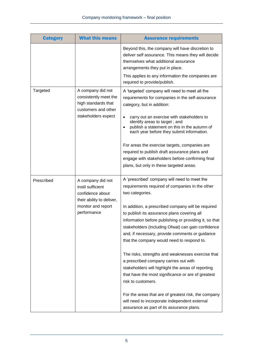| <b>Category</b> | <b>What this means</b>                                                                                                       | <b>Assurance requirements</b>                                                                                                                                                                                                                                                                                                                                                                                                                                                                                                                                                                                                                                                                                                                                                                                                  |
|-----------------|------------------------------------------------------------------------------------------------------------------------------|--------------------------------------------------------------------------------------------------------------------------------------------------------------------------------------------------------------------------------------------------------------------------------------------------------------------------------------------------------------------------------------------------------------------------------------------------------------------------------------------------------------------------------------------------------------------------------------------------------------------------------------------------------------------------------------------------------------------------------------------------------------------------------------------------------------------------------|
|                 |                                                                                                                              | Beyond this, the company will have discretion to<br>deliver self assurance. This means they will decide<br>themselves what additional assurance<br>arrangements they put in place.<br>This applies to any information the companies are<br>required to provide/publish.                                                                                                                                                                                                                                                                                                                                                                                                                                                                                                                                                        |
| Targeted        | A company did not<br>consistently meet the<br>high standards that<br>customers and other<br>stakeholders expect              | A 'targeted' company will need to meet all the<br>requirements for companies in the self-assurance<br>category, but in addition:<br>carry out an exercise with stakeholders to<br>$\bullet$<br>identify areas to target; and<br>publish a statement on this in the autumn of<br>$\bullet$<br>each year before they submit information.<br>For areas the exercise targets, companies are<br>required to publish draft assurance plans and<br>engage with stakeholders before confirming final<br>plans, but only in these targeted areas.                                                                                                                                                                                                                                                                                       |
| Prescribed      | A company did not<br>instil sufficient<br>confidence about<br>their ability to deliver,<br>monitor and report<br>performance | A 'prescribed' company will need to meet the<br>requirements required of companies in the other<br>two categories.<br>In addition, a prescribed company will be required<br>to publish its assurance plans covering all<br>information before publishing or providing it, so that<br>stakeholders (including Ofwat) can gain confidence<br>and, if necessary, provide comments or guidance<br>that the company would need to respond to.<br>The risks, strengths and weaknesses exercise that<br>a prescribed company carries out with<br>stakeholders will highlight the areas of reporting<br>that have the most significance or are of greatest<br>risk to customers.<br>For the areas that are of greatest risk, the company<br>will need to incorporate independent external<br>assurance as part of its assurance plans. |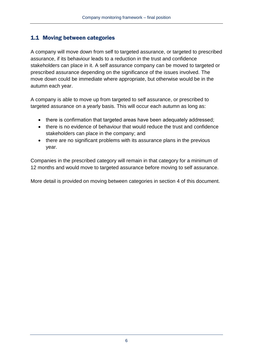#### 1.1 Moving between categories

A company will move down from self to targeted assurance, or targeted to prescribed assurance, if its behaviour leads to a reduction in the trust and confidence stakeholders can place in it. A self assurance company can be moved to targeted or prescribed assurance depending on the significance of the issues involved. The move down could be immediate where appropriate, but otherwise would be in the autumn each year.

A company is able to move up from targeted to self assurance, or prescribed to targeted assurance on a yearly basis. This will occur each autumn as long as:

- there is confirmation that targeted areas have been adequately addressed;
- there is no evidence of behaviour that would reduce the trust and confidence stakeholders can place in the company; and
- there are no significant problems with its assurance plans in the previous year.

Companies in the prescribed category will remain in that category for a minimum of 12 months and would move to targeted assurance before moving to self assurance.

More detail is provided on moving between categories in section 4 of this document.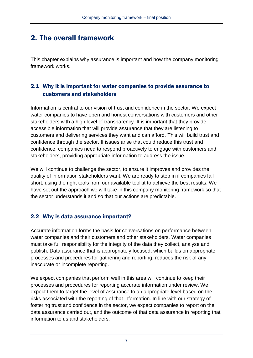## 2. The overall framework

This chapter explains why assurance is important and how the company monitoring framework works.

### 2.1 Why it is important for water companies to provide assurance to customers and stakeholders

Information is central to our vision of trust and confidence in the sector. We expect water companies to have open and honest conversations with customers and other stakeholders with a high level of transparency. It is important that they provide accessible information that will provide assurance that they are listening to customers and delivering services they want and can afford. This will build trust and confidence through the sector. If issues arise that could reduce this trust and confidence, companies need to respond proactively to engage with customers and stakeholders, providing appropriate information to address the issue.

We will continue to challenge the sector, to ensure it improves and provides the quality of information stakeholders want. We are ready to step in if companies fall short, using the right tools from our available toolkit to achieve the best results. We have set out the approach we will take in this company monitoring framework so that the sector understands it and so that our actions are predictable.

#### 2.2 Why is data assurance important?

Accurate information forms the basis for conversations on performance between water companies and their customers and other stakeholders. Water companies must take full responsibility for the integrity of the data they collect, analyse and publish. Data assurance that is appropriately focused, which builds on appropriate processes and procedures for gathering and reporting, reduces the risk of any inaccurate or incomplete reporting.

We expect companies that perform well in this area will continue to keep their processes and procedures for reporting accurate information under review. We expect them to target the level of assurance to an appropriate level based on the risks associated with the reporting of that information. In line with our strategy of fostering trust and confidence in the sector, we expect companies to report on the data assurance carried out, and the outcome of that data assurance in reporting that information to us and stakeholders.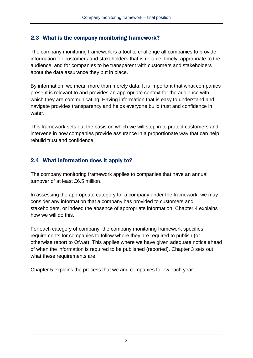#### 2.3 What is the company monitoring framework?

The company monitoring framework is a tool to challenge all companies to provide information for customers and stakeholders that is reliable, timely, appropriate to the audience, and for companies to be transparent with customers and stakeholders about the data assurance they put in place.

By information, we mean more than merely data. It is important that what companies present is relevant to and provides an appropriate context for the audience with which they are communicating. Having information that is easy to understand and navigate provides transparency and helps everyone build trust and confidence in water.

This framework sets out the basis on which we will step in to protect customers and intervene in how companies provide assurance in a proportionate way that can help rebuild trust and confidence.

### 2.4 What information does it apply to?

The company monitoring framework applies to companies that have an annual turnover of at least £6.5 million.

In assessing the appropriate category for a company under the framework, we may consider any information that a company has provided to customers and stakeholders, or indeed the absence of appropriate information. Chapter 4 explains how we will do this.

For each category of company, the company monitoring framework specifies requirements for companies to follow where they are required to publish (or otherwise report to Ofwat). This applies where we have given adequate notice ahead of when the information is required to be published (reported). Chapter 3 sets out what these requirements are.

Chapter 5 explains the process that we and companies follow each year.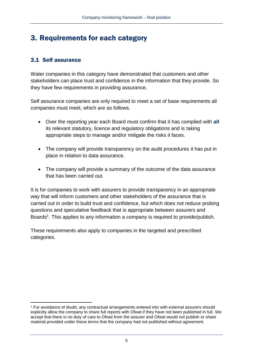### 3. Requirements for each category

#### 3.1 Self assurance

Water companies in this category have demonstrated that customers and other stakeholders can place trust and confidence in the information that they provide. So they have few requirements in providing assurance.

Self assurance companies are only required to meet a set of base requirements all companies must meet, which are as follows.

- Over the reporting year each Board must confirm that it has complied with **all** its relevant statutory, licence and regulatory obligations and is taking appropriate steps to manage and/or mitigate the risks it faces.
- The company will provide transparency on the audit procedures it has put in place in relation to data assurance.
- The company will provide a summary of the outcome of the data assurance that has been carried out.

It is for companies to work with assurers to provide transparency in an appropriate way that will inform customers and other stakeholders of the assurance that is carried out in order to build trust and confidence, but which does not reduce probing questions and speculative feedback that is appropriate between assurers and Boards<sup>1</sup>. This applies to any information a company is required to provide/publish.

These requirements also apply to companies in the targeted and prescribed categories.

<sup>-</sup><sup>1</sup> For avoidance of doubt, any contractual arrangements entered into with external assurers should explicitly allow the company to share full reports with Ofwat if they have not been published in full. We accept that there is no duty of care to Ofwat from the assurer and Ofwat would not publish or share material provided under these terms that the company had not published without agreement.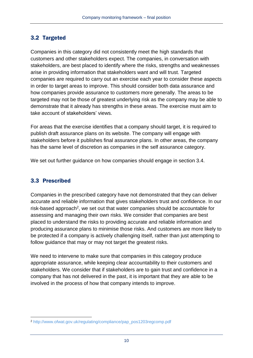### 3.2 Targeted

Companies in this category did not consistently meet the high standards that customers and other stakeholders expect. The companies, in conversation with stakeholders, are best placed to identify where the risks, strengths and weaknesses arise in providing information that stakeholders want and will trust. Targeted companies are required to carry out an exercise each year to consider these aspects in order to target areas to improve. This should consider both data assurance and how companies provide assurance to customers more generally. The areas to be targeted may not be those of greatest underlying risk as the company may be able to demonstrate that it already has strengths in these areas. The exercise must aim to take account of stakeholders' views.

For areas that the exercise identifies that a company should target, it is required to publish draft assurance plans on its website. The company will engage with stakeholders before it publishes final assurance plans. In other areas, the company has the same level of discretion as companies in the self assurance category.

We set out further guidance on how companies should engage in section 3.4.

#### 3.3 Prescribed

Companies in the prescribed category have not demonstrated that they can deliver accurate and reliable information that gives stakeholders trust and confidence. In our risk-based approach<sup>2</sup>, we set out that water companies should be accountable for assessing and managing their own risks. We consider that companies are best placed to understand the risks to providing accurate and reliable information and producing assurance plans to minimise those risks. And customers are more likely to be protected if a company is actively challenging itself, rather than just attempting to follow guidance that may or may not target the greatest risks.

We need to intervene to make sure that companies in this category produce appropriate assurance, while keeping clear accountability to their customers and stakeholders. We consider that if stakeholders are to gain trust and confidence in a company that has not delivered in the past, it is important that they are able to be involved in the process of how that company intends to improve.

<sup>-</sup><sup>2</sup> [http://www.ofwat.gov.uk/regulating/compliance/pap\\_pos1203regcomp.pdf](http://www.ofwat.gov.uk/regulating/compliance/pap_pos1203regcomp.pdf)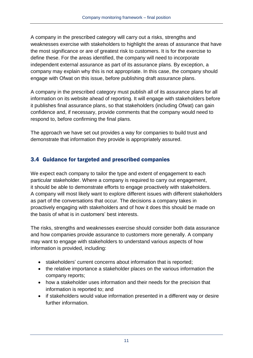A company in the prescribed category will carry out a risks, strengths and weaknesses exercise with stakeholders to highlight the areas of assurance that have the most significance or are of greatest risk to customers. It is for the exercise to define these. For the areas identified, the company will need to incorporate independent external assurance as part of its assurance plans. By exception, a company may explain why this is not appropriate. In this case, the company should engage with Ofwat on this issue, before publishing draft assurance plans.

A company in the prescribed category must publish all of its assurance plans for all information on its website ahead of reporting. It will engage with stakeholders before it publishes final assurance plans, so that stakeholders (including Ofwat) can gain confidence and, if necessary, provide comments that the company would need to respond to, before confirming the final plans.

The approach we have set out provides a way for companies to build trust and demonstrate that information they provide is appropriately assured.

### 3.4 Guidance for targeted and prescribed companies

We expect each company to tailor the type and extent of engagement to each particular stakeholder. Where a company is required to carry out engagement, it should be able to demonstrate efforts to engage proactively with stakeholders. A company will most likely want to explore different issues with different stakeholders as part of the conversations that occur. The decisions a company takes in proactively engaging with stakeholders and of how it does this should be made on the basis of what is in customers' best interests.

The risks, strengths and weaknesses exercise should consider both data assurance and how companies provide assurance to customers more generally. A company may want to engage with stakeholders to understand various aspects of how information is provided, including:

- stakeholders' current concerns about information that is reported;
- the relative importance a stakeholder places on the various information the company reports;
- how a stakeholder uses information and their needs for the precision that information is reported to; and
- if stakeholders would value information presented in a different way or desire further information.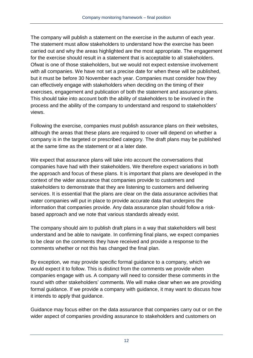The company will publish a statement on the exercise in the autumn of each year. The statement must allow stakeholders to understand how the exercise has been carried out and why the areas highlighted are the most appropriate. The engagement for the exercise should result in a statement that is acceptable to all stakeholders. Ofwat is one of those stakeholders, but we would not expect extensive involvement with all companies. We have not set a precise date for when these will be published, but it must be before 30 November each year. Companies must consider how they can effectively engage with stakeholders when deciding on the timing of their exercises, engagement and publication of both the statement and assurance plans. This should take into account both the ability of stakeholders to be involved in the process and the ability of the company to understand and respond to stakeholders' views.

Following the exercise, companies must publish assurance plans on their websites, although the areas that these plans are required to cover will depend on whether a company is in the targeted or prescribed category. The draft plans may be published at the same time as the statement or at a later date.

We expect that assurance plans will take into account the conversations that companies have had with their stakeholders. We therefore expect variations in both the approach and focus of these plans. It is important that plans are developed in the context of the wider assurance that companies provide to customers and stakeholders to demonstrate that they are listening to customers and delivering services. It is essential that the plans are clear on the data assurance activities that water companies will put in place to provide accurate data that underpins the information that companies provide. Any data assurance plan should follow a riskbased approach and we note that various standards already exist.

The company should aim to publish draft plans in a way that stakeholders will best understand and be able to navigate. In confirming final plans, we expect companies to be clear on the comments they have received and provide a response to the comments whether or not this has changed the final plan.

By exception, we may provide specific formal guidance to a company, which we would expect it to follow. This is distinct from the comments we provide when companies engage with us. A company will need to consider these comments in the round with other stakeholders' comments. We will make clear when we are providing formal guidance. If we provide a company with guidance, it may want to discuss how it intends to apply that guidance.

Guidance may focus either on the data assurance that companies carry out or on the wider aspect of companies providing assurance to stakeholders and customers on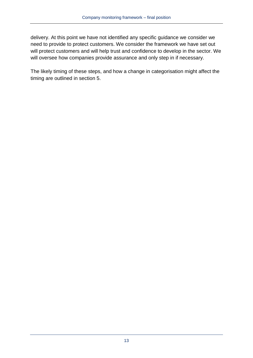delivery. At this point we have not identified any specific guidance we consider we need to provide to protect customers. We consider the framework we have set out will protect customers and will help trust and confidence to develop in the sector. We will oversee how companies provide assurance and only step in if necessary.

The likely timing of these steps, and how a change in categorisation might affect the timing are outlined in section 5.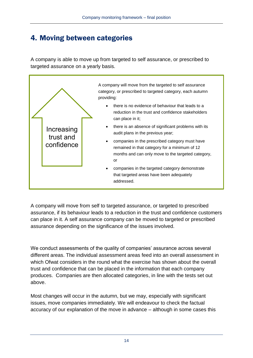## 4. Moving between categories

A company is able to move up from targeted to self assurance, or prescribed to targeted assurance on a yearly basis.



A company will move from self to targeted assurance, or targeted to prescribed assurance, if its behaviour leads to a reduction in the trust and confidence customers can place in it. A self assurance company can be moved to targeted or prescribed assurance depending on the significance of the issues involved.

We conduct assessments of the quality of companies' assurance across several different areas. The individual assessment areas feed into an overall assessment in which Ofwat considers in the round what the exercise has shown about the overall trust and confidence that can be placed in the information that each company produces. Companies are then allocated categories, in line with the tests set out above.

Most changes will occur in the autumn, but we may, especially with significant issues, move companies immediately. We will endeavour to check the factual accuracy of our explanation of the move in advance – although in some cases this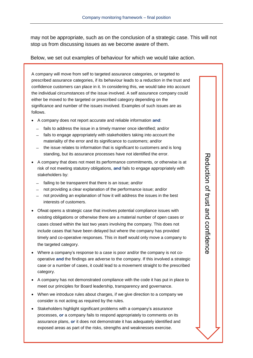may not be appropriate, such as on the conclusion of a strategic case. This will not stop us from discussing issues as we become aware of them.

Below, we set out examples of behaviour for which we would take action.

A company will move from self to targeted assurance categories, or targeted to prescribed assurance categories, if its behaviour leads to a reduction in the trust and confidence customers can place in it. In considering this, we would take into account the individual circumstances of the issue involved. A self assurance company could either be moved to the targeted or prescribed category depending on the significance and number of the issues involved. Examples of such issues are as follows.

- A company does not report accurate and reliable information **and**:
	- ̶ fails to address the issue in a timely manner once identified; and/or
	- ̶ fails to engage appropriately with stakeholders taking into account the materiality of the error and its significance to customers; and/or
	- ̶ the issue relates to information that is significant to customers and is long standing, but its assurance processes have not identified the error.
- A company that does not meet its performance commitments, or otherwise is at risk of not meeting statutory obligations, **and** fails to engage appropriately with stakeholders by:
	- ̶ failing to be transparent that there is an issue; and/or
	- ̶ not providing a clear explanation of the performance issue; and/or
	- ̶ not providing an explanation of how it will address the issues in the best interests of customers.
- Ofwat opens a strategic case that involves potential compliance issues with existing obligations or otherwise there are a material number of open cases or cases closed within the last two years involving the company. This does not include cases that have been delayed but where the company has provided timely and co-operative responses. This in itself would only move a company to the targeted category.
- Where a company's response to a case is poor and/or the company is not cooperative **and** the findings are adverse to the company. If this involved a strategic case or a number of cases, it could lead to a movement straight to the prescribed category.
- A company has not demonstrated compliance with the code it has put in place to meet our principles for Board leadership, transparency and governance.
- When we introduce rules about charges, if we give direction to a company we consider is not acting as required by the rules.
- Stakeholders highlight significant problems with a company's assurance processes, **or** a company fails to respond appropriately to comments on its assurance plans, **or** it does not demonstrate it has adequately identified and exposed areas as part of the risks, strengths and weaknesses exercise.

15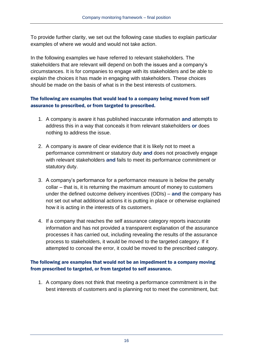To provide further clarity, we set out the following case studies to explain particular examples of where we would and would not take action.

In the following examples we have referred to relevant stakeholders. The stakeholders that are relevant will depend on both the issues and a company's circumstances. It is for companies to engage with its stakeholders and be able to explain the choices it has made in engaging with stakeholders. These choices should be made on the basis of what is in the best interests of customers.

#### The following are examples that would lead to a company being moved from self assurance to prescribed, or from targeted to prescribed.

- 1. A company is aware it has published inaccurate information **and** attempts to address this in a way that conceals it from relevant stakeholders **or** does nothing to address the issue.
- 2. A company is aware of clear evidence that it is likely not to meet a performance commitment or statutory duty **and** does not proactively engage with relevant stakeholders **and** fails to meet its performance commitment or statutory duty.
- 3. A company's performance for a performance measure is below the penalty collar – that is, it is returning the maximum amount of money to customers under the defined outcome delivery incentives (ODIs) – **and** the company has not set out what additional actions it is putting in place or otherwise explained how it is acting in the interests of its customers.
- 4. If a company that reaches the self assurance category reports inaccurate information and has not provided a transparent explanation of the assurance processes it has carried out, including revealing the results of the assurance process to stakeholders, it would be moved to the targeted category. If it attempted to conceal the error, it could be moved to the prescribed category.

#### The following are examples that would not be an impediment to a company moving from prescribed to targeted, or from targeted to self assurance.

1. A company does not think that meeting a performance commitment is in the best interests of customers and is planning not to meet the commitment, but: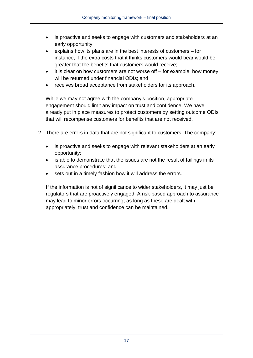- is proactive and seeks to engage with customers and stakeholders at an early opportunity;
- explains how its plans are in the best interests of customers for instance, if the extra costs that it thinks customers would bear would be greater that the benefits that customers would receive;
- it is clear on how customers are not worse off for example, how money will be returned under financial ODIs; and
- receives broad acceptance from stakeholders for its approach.

While we may not agree with the company's position, appropriate engagement should limit any impact on trust and confidence. We have already put in place measures to protect customers by setting outcome ODIs that will recompense customers for benefits that are not received.

- 2. There are errors in data that are not significant to customers. The company:
	- is proactive and seeks to engage with relevant stakeholders at an early opportunity;
	- is able to demonstrate that the issues are not the result of failings in its assurance procedures; and
	- sets out in a timely fashion how it will address the errors.

If the information is not of significance to wider stakeholders, it may just be regulators that are proactively engaged. A risk-based approach to assurance may lead to minor errors occurring; as long as these are dealt with appropriately, trust and confidence can be maintained.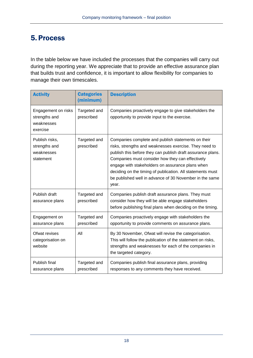### 5. Process

In the table below we have included the processes that the companies will carry out during the reporting year. We appreciate that to provide an effective assurance plan that builds trust and confidence, it is important to allow flexibility for companies to manage their own timescales.

| <b>Activity</b>                                                | <b>Categories</b><br>(minimum) | <b>Description</b>                                                                                                                                                                                                                                                                                                                                                                                                    |
|----------------------------------------------------------------|--------------------------------|-----------------------------------------------------------------------------------------------------------------------------------------------------------------------------------------------------------------------------------------------------------------------------------------------------------------------------------------------------------------------------------------------------------------------|
| Engagement on risks<br>strengths and<br>weaknesses<br>exercise | Targeted and<br>prescribed     | Companies proactively engage to give stakeholders the<br>opportunity to provide input to the exercise.                                                                                                                                                                                                                                                                                                                |
| Publish risks,<br>strengths and<br>weaknesses<br>statement     | Targeted and<br>prescribed     | Companies complete and publish statements on their<br>risks, strengths and weaknesses exercise. They need to<br>publish this before they can publish draft assurance plans.<br>Companies must consider how they can effectively<br>engage with stakeholders on assurance plans when<br>deciding on the timing of publication. All statements must<br>be published well in advance of 30 November in the same<br>year. |
| Publish draft<br>assurance plans                               | Targeted and<br>prescribed     | Companies publish draft assurance plans. They must<br>consider how they will be able engage stakeholders<br>before publishing final plans when deciding on the timing.                                                                                                                                                                                                                                                |
| Engagement on<br>assurance plans                               | Targeted and<br>prescribed     | Companies proactively engage with stakeholders the<br>opportunity to provide comments on assurance plans.                                                                                                                                                                                                                                                                                                             |
| Ofwat revises<br>categorisation on<br>website                  | All                            | By 30 November, Ofwat will revise the categorisation.<br>This will follow the publication of the statement on risks,<br>strengths and weaknesses for each of the companies in<br>the targeted category.                                                                                                                                                                                                               |
| Publish final<br>assurance plans                               | Targeted and<br>prescribed     | Companies publish final assurance plans, providing<br>responses to any comments they have received.                                                                                                                                                                                                                                                                                                                   |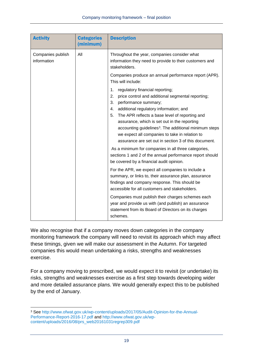| <b>Activity</b>                  | <b>Categories</b><br>(minimum) | <b>Description</b>                                                                                                                                                                                                                                                                                                                                                                                                                                                                                                           |  |
|----------------------------------|--------------------------------|------------------------------------------------------------------------------------------------------------------------------------------------------------------------------------------------------------------------------------------------------------------------------------------------------------------------------------------------------------------------------------------------------------------------------------------------------------------------------------------------------------------------------|--|
| Companies publish<br>information | All                            | Throughout the year, companies consider what<br>information they need to provide to their customers and<br>stakeholders.                                                                                                                                                                                                                                                                                                                                                                                                     |  |
|                                  |                                | Companies produce an annual performance report (APR).<br>This will include:                                                                                                                                                                                                                                                                                                                                                                                                                                                  |  |
|                                  |                                | 1.<br>regulatory financial reporting;<br>price control and additional segmental reporting;<br>2.<br>3.<br>performance summary;<br>additional regulatory information; and<br>4.<br>The APR reflects a base level of reporting and<br>5.<br>assurance, which is set out in the reporting<br>accounting guidelines <sup>3</sup> . The additional minimum steps<br>we expect all companies to take in relation to<br>assurance are set out in section 3 of this document.<br>As a minimum for companies in all three categories, |  |
|                                  |                                | sections 1 and 2 of the annual performance report should<br>be covered by a financial audit opinion.                                                                                                                                                                                                                                                                                                                                                                                                                         |  |
|                                  |                                | For the APR, we expect all companies to include a<br>summary, or links to, their assurance plan, assurance<br>findings and company response. This should be<br>accessible for all customers and stakeholders.                                                                                                                                                                                                                                                                                                                |  |
|                                  |                                | Companies must publish their charges schemes each<br>year and provide us with (and publish) an assurance<br>statement from its Board of Directors on its charges<br>schemes.                                                                                                                                                                                                                                                                                                                                                 |  |

We also recognise that if a company moves down categories in the company monitoring framework the company will need to revisit its approach which may affect these timings, given we will make our assessment in the Autumn. For targeted companies this would mean undertaking a risks, strengths and weaknesses exercise.

For a company moving to prescribed, we would expect it to revisit (or undertake) its risks, strengths and weaknesses exercise as a first step towards developing wider and more detailed assurance plans. We would generally expect this to be published by the end of January.

<sup>-</sup><sup>3</sup> See [http://www.ofwat.gov.uk/wp-content/uploads/2017/05/Audit-Opinion-for-the-Annual-](http://www.ofwat.gov.uk/wp-content/uploads/2017/05/Audit-Opinion-for-the-Annual-Performance-Report-2016-17.pdf)[Performance-Report-2016-17.pdf](http://www.ofwat.gov.uk/wp-content/uploads/2017/05/Audit-Opinion-for-the-Annual-Performance-Report-2016-17.pdf) and [http://www.ofwat.gov.uk/wp](http://www.ofwat.gov.uk/wp-content/uploads/2016/08/prs_web20161031regrep309.pdf)[content/uploads/2016/08/prs\\_web20161031regrep309.pdf](http://www.ofwat.gov.uk/wp-content/uploads/2016/08/prs_web20161031regrep309.pdf)